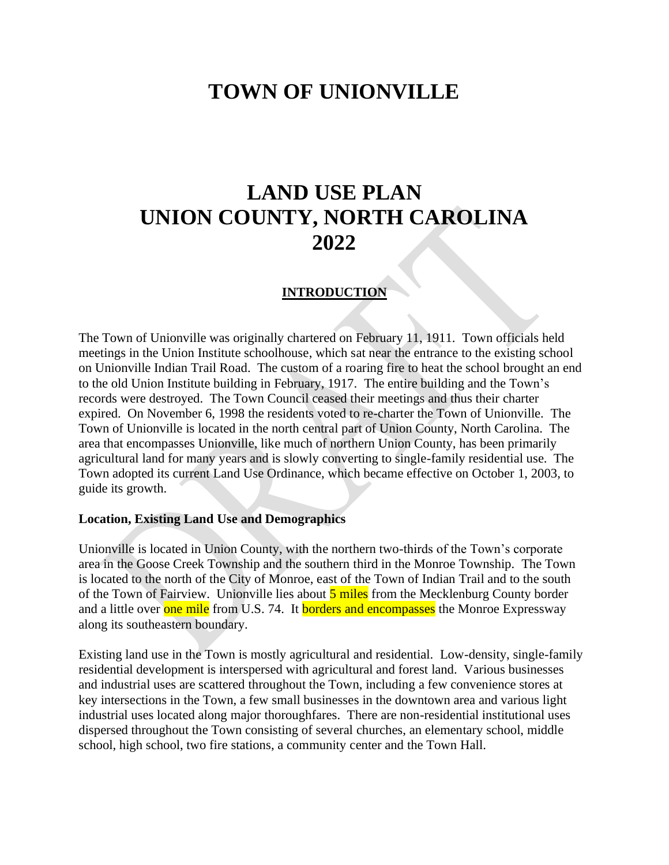# **TOWN OF UNIONVILLE**

# **LAND USE PLAN UNION COUNTY, NORTH CAROLINA 2022**

#### **INTRODUCTION**

The Town of Unionville was originally chartered on February 11, 1911. Town officials held meetings in the Union Institute schoolhouse, which sat near the entrance to the existing school on Unionville Indian Trail Road. The custom of a roaring fire to heat the school brought an end to the old Union Institute building in February, 1917. The entire building and the Town's records were destroyed. The Town Council ceased their meetings and thus their charter expired. On November 6, 1998 the residents voted to re-charter the Town of Unionville. The Town of Unionville is located in the north central part of Union County, North Carolina. The area that encompasses Unionville, like much of northern Union County, has been primarily agricultural land for many years and is slowly converting to single-family residential use. The Town adopted its current Land Use Ordinance, which became effective on October 1, 2003, to guide its growth.

#### **Location, Existing Land Use and Demographics**

Unionville is located in Union County, with the northern two-thirds of the Town's corporate area in the Goose Creek Township and the southern third in the Monroe Township. The Town is located to the north of the City of Monroe, east of the Town of Indian Trail and to the south of the Town of Fairview. Unionville lies about 5 miles from the Mecklenburg County border and a little over one mile from U.S. 74. It borders and encompasses the Monroe Expressway along its southeastern boundary.

Existing land use in the Town is mostly agricultural and residential. Low-density, single-family residential development is interspersed with agricultural and forest land. Various businesses and industrial uses are scattered throughout the Town, including a few convenience stores at key intersections in the Town, a few small businesses in the downtown area and various light industrial uses located along major thoroughfares. There are non-residential institutional uses dispersed throughout the Town consisting of several churches, an elementary school, middle school, high school, two fire stations, a community center and the Town Hall.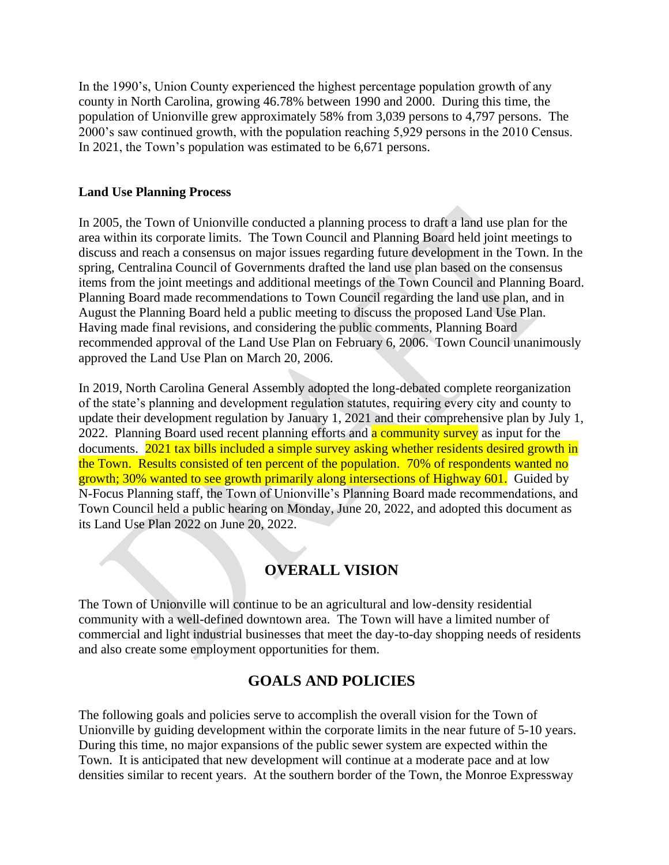In the 1990's, Union County experienced the highest percentage population growth of any county in North Carolina, growing 46.78% between 1990 and 2000. During this time, the population of Unionville grew approximately 58% from 3,039 persons to 4,797 persons. The 2000's saw continued growth, with the population reaching 5,929 persons in the 2010 Census. In 2021, the Town's population was estimated to be 6,671 persons.

### **Land Use Planning Process**

In 2005, the Town of Unionville conducted a planning process to draft a land use plan for the area within its corporate limits. The Town Council and Planning Board held joint meetings to discuss and reach a consensus on major issues regarding future development in the Town. In the spring, Centralina Council of Governments drafted the land use plan based on the consensus items from the joint meetings and additional meetings of the Town Council and Planning Board. Planning Board made recommendations to Town Council regarding the land use plan, and in August the Planning Board held a public meeting to discuss the proposed Land Use Plan. Having made final revisions, and considering the public comments, Planning Board recommended approval of the Land Use Plan on February 6, 2006. Town Council unanimously approved the Land Use Plan on March 20, 2006.

In 2019, North Carolina General Assembly adopted the long-debated complete reorganization of the state's planning and development regulation statutes, requiring every city and county to update their development regulation by January 1, 2021 and their comprehensive plan by July 1,  $2022$ . Planning Board used recent planning efforts and **a community survey** as input for the documents. 2021 tax bills included a simple survey asking whether residents desired growth in the Town. Results consisted of ten percent of the population. 70% of respondents wanted no growth; 30% wanted to see growth primarily along intersections of Highway 601. Guided by N-Focus Planning staff, the Town of Unionville's Planning Board made recommendations, and Town Council held a public hearing on Monday, June 20, 2022, and adopted this document as its Land Use Plan 2022 on June 20, 2022.

# **OVERALL VISION**

The Town of Unionville will continue to be an agricultural and low-density residential community with a well-defined downtown area. The Town will have a limited number of commercial and light industrial businesses that meet the day-to-day shopping needs of residents and also create some employment opportunities for them.

# **GOALS AND POLICIES**

The following goals and policies serve to accomplish the overall vision for the Town of Unionville by guiding development within the corporate limits in the near future of 5-10 years. During this time, no major expansions of the public sewer system are expected within the Town. It is anticipated that new development will continue at a moderate pace and at low densities similar to recent years. At the southern border of the Town, the Monroe Expressway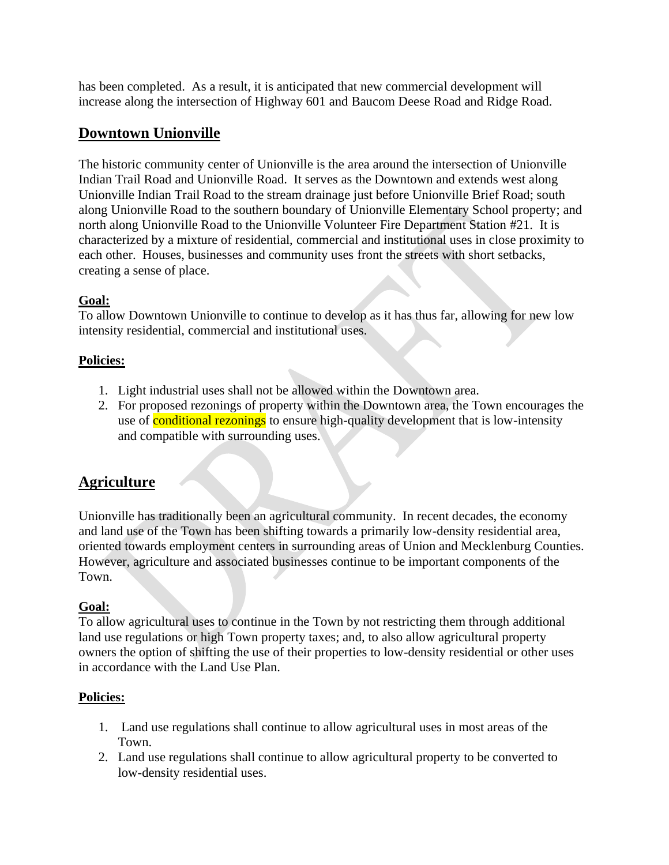has been completed. As a result, it is anticipated that new commercial development will increase along the intersection of Highway 601 and Baucom Deese Road and Ridge Road.

# **Downtown Unionville**

The historic community center of Unionville is the area around the intersection of Unionville Indian Trail Road and Unionville Road. It serves as the Downtown and extends west along Unionville Indian Trail Road to the stream drainage just before Unionville Brief Road; south along Unionville Road to the southern boundary of Unionville Elementary School property; and north along Unionville Road to the Unionville Volunteer Fire Department Station #21. It is characterized by a mixture of residential, commercial and institutional uses in close proximity to each other. Houses, businesses and community uses front the streets with short setbacks, creating a sense of place.

## **Goal:**

To allow Downtown Unionville to continue to develop as it has thus far, allowing for new low intensity residential, commercial and institutional uses.

## **Policies:**

- 1. Light industrial uses shall not be allowed within the Downtown area.
- 2. For proposed rezonings of property within the Downtown area, the Town encourages the use of conditional rezonings to ensure high-quality development that is low-intensity and compatible with surrounding uses.

# **Agriculture**

Unionville has traditionally been an agricultural community. In recent decades, the economy and land use of the Town has been shifting towards a primarily low-density residential area, oriented towards employment centers in surrounding areas of Union and Mecklenburg Counties. However, agriculture and associated businesses continue to be important components of the Town.

## **Goal:**

To allow agricultural uses to continue in the Town by not restricting them through additional land use regulations or high Town property taxes; and, to also allow agricultural property owners the option of shifting the use of their properties to low-density residential or other uses in accordance with the Land Use Plan.

## **Policies:**

- 1. Land use regulations shall continue to allow agricultural uses in most areas of the Town.
- 2. Land use regulations shall continue to allow agricultural property to be converted to low-density residential uses.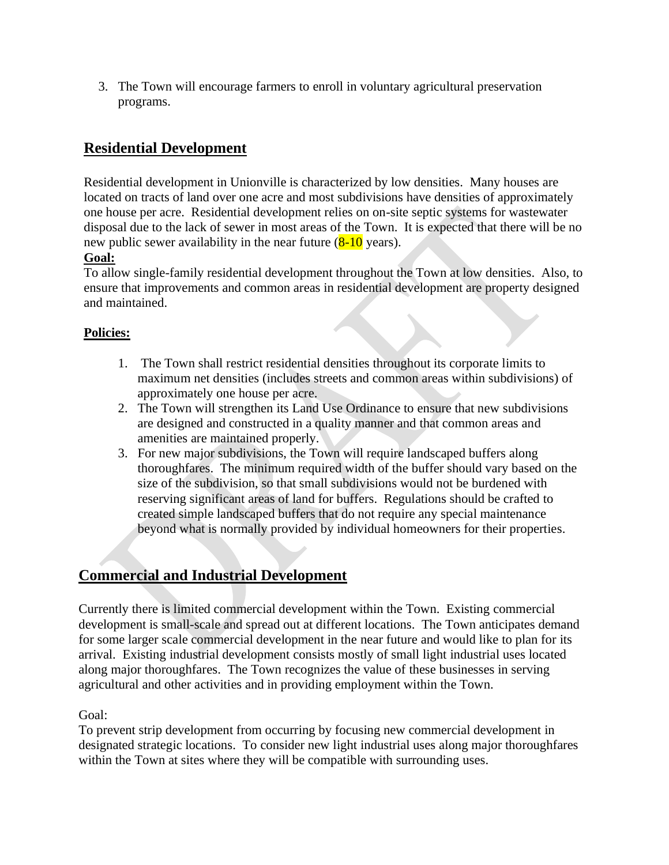3. The Town will encourage farmers to enroll in voluntary agricultural preservation programs.

# **Residential Development**

Residential development in Unionville is characterized by low densities. Many houses are located on tracts of land over one acre and most subdivisions have densities of approximately one house per acre. Residential development relies on on-site septic systems for wastewater disposal due to the lack of sewer in most areas of the Town. It is expected that there will be no new public sewer availability in the near future  $(8-10 \text{ years})$ .

## **Goal:**

To allow single-family residential development throughout the Town at low densities. Also, to ensure that improvements and common areas in residential development are property designed and maintained.

## **Policies:**

- 1. The Town shall restrict residential densities throughout its corporate limits to maximum net densities (includes streets and common areas within subdivisions) of approximately one house per acre.
- 2. The Town will strengthen its Land Use Ordinance to ensure that new subdivisions are designed and constructed in a quality manner and that common areas and amenities are maintained properly.
- 3. For new major subdivisions, the Town will require landscaped buffers along thoroughfares. The minimum required width of the buffer should vary based on the size of the subdivision, so that small subdivisions would not be burdened with reserving significant areas of land for buffers. Regulations should be crafted to created simple landscaped buffers that do not require any special maintenance beyond what is normally provided by individual homeowners for their properties.

# **Commercial and Industrial Development**

Currently there is limited commercial development within the Town. Existing commercial development is small-scale and spread out at different locations. The Town anticipates demand for some larger scale commercial development in the near future and would like to plan for its arrival. Existing industrial development consists mostly of small light industrial uses located along major thoroughfares. The Town recognizes the value of these businesses in serving agricultural and other activities and in providing employment within the Town.

Goal:

To prevent strip development from occurring by focusing new commercial development in designated strategic locations. To consider new light industrial uses along major thoroughfares within the Town at sites where they will be compatible with surrounding uses.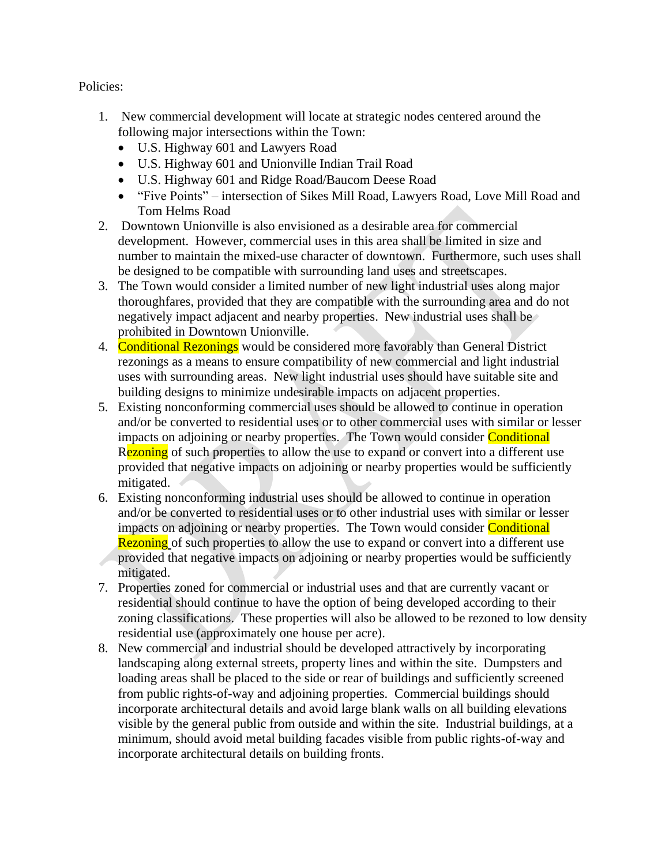Policies:

- 1. New commercial development will locate at strategic nodes centered around the following major intersections within the Town:
	- U.S. Highway 601 and Lawyers Road
	- U.S. Highway 601 and Unionville Indian Trail Road
	- U.S. Highway 601 and Ridge Road/Baucom Deese Road
	- "Five Points" intersection of Sikes Mill Road, Lawyers Road, Love Mill Road and Tom Helms Road
- 2. Downtown Unionville is also envisioned as a desirable area for commercial development. However, commercial uses in this area shall be limited in size and number to maintain the mixed-use character of downtown. Furthermore, such uses shall be designed to be compatible with surrounding land uses and streetscapes.
- 3. The Town would consider a limited number of new light industrial uses along major thoroughfares, provided that they are compatible with the surrounding area and do not negatively impact adjacent and nearby properties. New industrial uses shall be prohibited in Downtown Unionville.
- 4. Conditional Rezonings would be considered more favorably than General District rezonings as a means to ensure compatibility of new commercial and light industrial uses with surrounding areas. New light industrial uses should have suitable site and building designs to minimize undesirable impacts on adjacent properties.
- 5. Existing nonconforming commercial uses should be allowed to continue in operation and/or be converted to residential uses or to other commercial uses with similar or lesser impacts on adjoining or nearby properties. The Town would consider Conditional Rezoning of such properties to allow the use to expand or convert into a different use provided that negative impacts on adjoining or nearby properties would be sufficiently mitigated.
- 6. Existing nonconforming industrial uses should be allowed to continue in operation and/or be converted to residential uses or to other industrial uses with similar or lesser impacts on adjoining or nearby properties. The Town would consider **Conditional** Rezoning of such properties to allow the use to expand or convert into a different use provided that negative impacts on adjoining or nearby properties would be sufficiently mitigated.
- 7. Properties zoned for commercial or industrial uses and that are currently vacant or residential should continue to have the option of being developed according to their zoning classifications. These properties will also be allowed to be rezoned to low density residential use (approximately one house per acre).
- 8. New commercial and industrial should be developed attractively by incorporating landscaping along external streets, property lines and within the site. Dumpsters and loading areas shall be placed to the side or rear of buildings and sufficiently screened from public rights-of-way and adjoining properties. Commercial buildings should incorporate architectural details and avoid large blank walls on all building elevations visible by the general public from outside and within the site. Industrial buildings, at a minimum, should avoid metal building facades visible from public rights-of-way and incorporate architectural details on building fronts.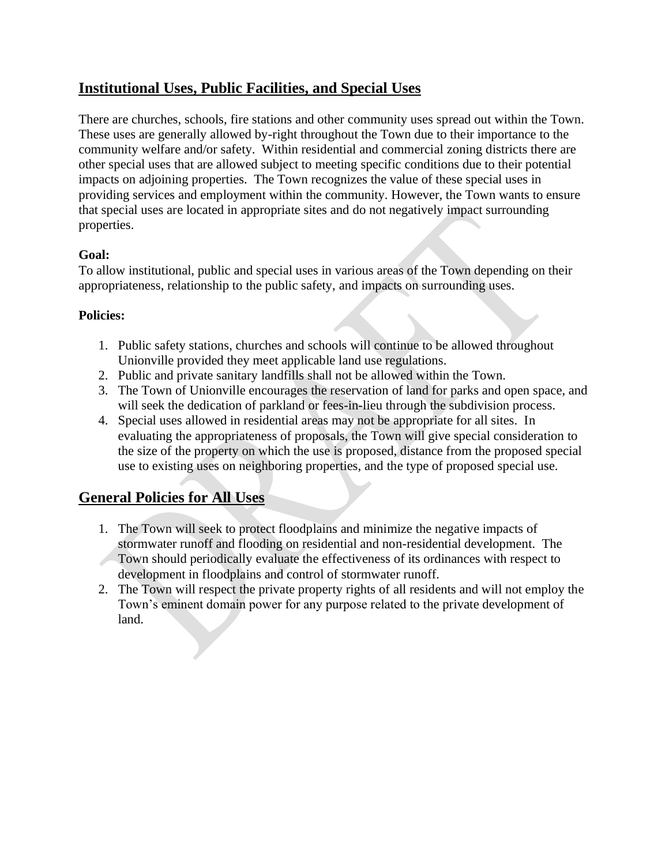# **Institutional Uses, Public Facilities, and Special Uses**

There are churches, schools, fire stations and other community uses spread out within the Town. These uses are generally allowed by-right throughout the Town due to their importance to the community welfare and/or safety. Within residential and commercial zoning districts there are other special uses that are allowed subject to meeting specific conditions due to their potential impacts on adjoining properties. The Town recognizes the value of these special uses in providing services and employment within the community. However, the Town wants to ensure that special uses are located in appropriate sites and do not negatively impact surrounding properties.

## **Goal:**

To allow institutional, public and special uses in various areas of the Town depending on their appropriateness, relationship to the public safety, and impacts on surrounding uses.

## **Policies:**

- 1. Public safety stations, churches and schools will continue to be allowed throughout Unionville provided they meet applicable land use regulations.
- 2. Public and private sanitary landfills shall not be allowed within the Town.
- 3. The Town of Unionville encourages the reservation of land for parks and open space, and will seek the dedication of parkland or fees-in-lieu through the subdivision process.
- 4. Special uses allowed in residential areas may not be appropriate for all sites. In evaluating the appropriateness of proposals, the Town will give special consideration to the size of the property on which the use is proposed, distance from the proposed special use to existing uses on neighboring properties, and the type of proposed special use.

# **General Policies for All Uses**

- 1. The Town will seek to protect floodplains and minimize the negative impacts of stormwater runoff and flooding on residential and non-residential development. The Town should periodically evaluate the effectiveness of its ordinances with respect to development in floodplains and control of stormwater runoff.
- 2. The Town will respect the private property rights of all residents and will not employ the Town's eminent domain power for any purpose related to the private development of land.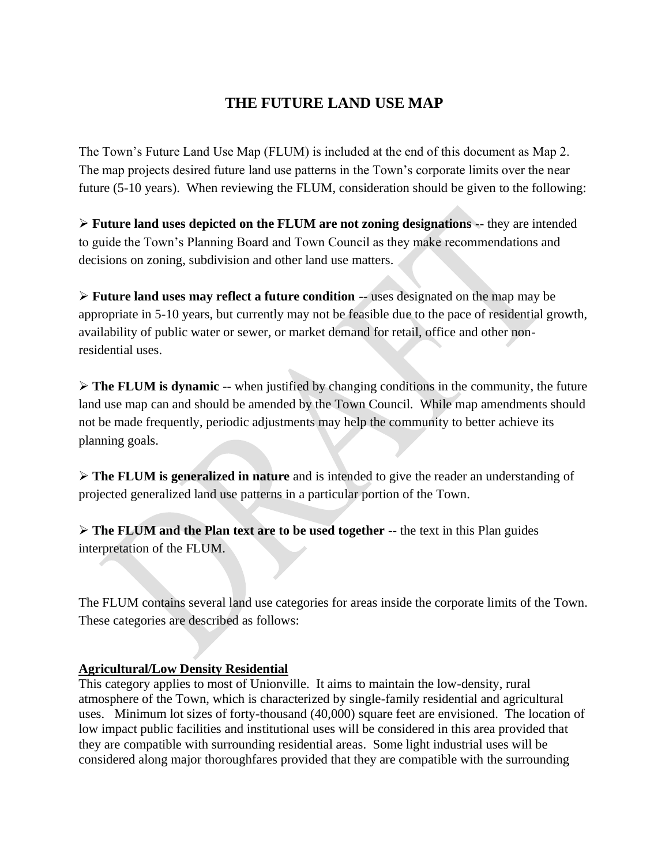# **THE FUTURE LAND USE MAP**

The Town's Future Land Use Map (FLUM) is included at the end of this document as Map 2. The map projects desired future land use patterns in the Town's corporate limits over the near future (5-10 years). When reviewing the FLUM, consideration should be given to the following:

➢ **Future land uses depicted on the FLUM are not zoning designations** -- they are intended to guide the Town's Planning Board and Town Council as they make recommendations and decisions on zoning, subdivision and other land use matters.

➢ **Future land uses may reflect a future condition** -- uses designated on the map may be appropriate in 5-10 years, but currently may not be feasible due to the pace of residential growth, availability of public water or sewer, or market demand for retail, office and other nonresidential uses.

➢ **The FLUM is dynamic** -- when justified by changing conditions in the community, the future land use map can and should be amended by the Town Council. While map amendments should not be made frequently, periodic adjustments may help the community to better achieve its planning goals.

➢ **The FLUM is generalized in nature** and is intended to give the reader an understanding of projected generalized land use patterns in a particular portion of the Town.

➢ **The FLUM and the Plan text are to be used together** -- the text in this Plan guides interpretation of the FLUM.

The FLUM contains several land use categories for areas inside the corporate limits of the Town. These categories are described as follows:

#### **Agricultural/Low Density Residential**

This category applies to most of Unionville. It aims to maintain the low-density, rural atmosphere of the Town, which is characterized by single-family residential and agricultural uses. Minimum lot sizes of forty-thousand (40,000) square feet are envisioned. The location of low impact public facilities and institutional uses will be considered in this area provided that they are compatible with surrounding residential areas. Some light industrial uses will be considered along major thoroughfares provided that they are compatible with the surrounding